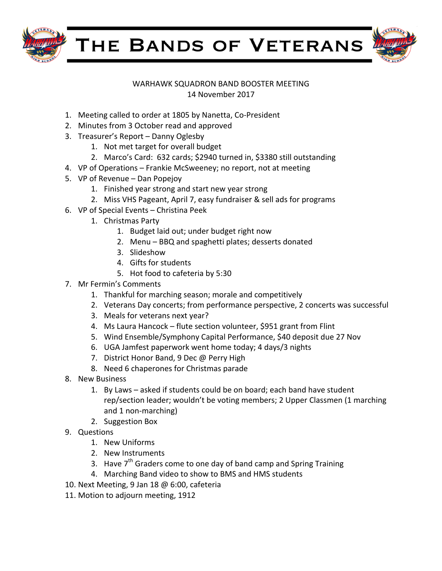

THE BANDS OF VETERANS

## WARHAWK SQUADRON BAND BOOSTER MEETING

14 November 2017

- 1. Meeting called to order at 1805 by Nanetta, Co-President
- 2. Minutes from 3 October read and approved
- 3. Treasurer's Report Danny Oglesby
	- 1. Not met target for overall budget
	- 2. Marco's Card: 632 cards; \$2940 turned in, \$3380 still outstanding
- 4. VP of Operations Frankie McSweeney; no report, not at meeting
- 5. VP of Revenue Dan Popejoy
	- 1. Finished year strong and start new year strong
	- 2. Miss VHS Pageant, April 7, easy fundraiser & sell ads for programs
- 6. VP of Special Events Christina Peek
	- 1. Christmas Party
		- 1. Budget laid out; under budget right now
		- 2. Menu BBQ and spaghetti plates; desserts donated
		- 3. Slideshow
		- 4. Gifts for students
		- 5. Hot food to cafeteria by 5:30
- 7. Mr Fermin's Comments
	- 1. Thankful for marching season; morale and competitively
	- 2. Veterans Day concerts; from performance perspective, 2 concerts was successful
	- 3. Meals for veterans next year?
	- 4. Ms Laura Hancock flute section volunteer, \$951 grant from Flint
	- 5. Wind Ensemble/Symphony Capital Performance, \$40 deposit due 27 Nov
	- 6. UGA Jamfest paperwork went home today; 4 days/3 nights
	- 7. District Honor Band, 9 Dec @ Perry High
	- 8. Need 6 chaperones for Christmas parade
- 8. New Business
	- 1. By Laws asked if students could be on board; each band have student rep/section leader; wouldn't be voting members; 2 Upper Classmen (1 marching and 1 non-marching)
	- 2. Suggestion Box
- 9. Questions
	- 1. New Uniforms
	- 2. New Instruments
	- 3. Have  $7<sup>th</sup>$  Graders come to one day of band camp and Spring Training
	- 4. Marching Band video to show to BMS and HMS students
- 10. Next Meeting, 9 Jan 18 @ 6:00, cafeteria
- 11. Motion to adjourn meeting, 1912